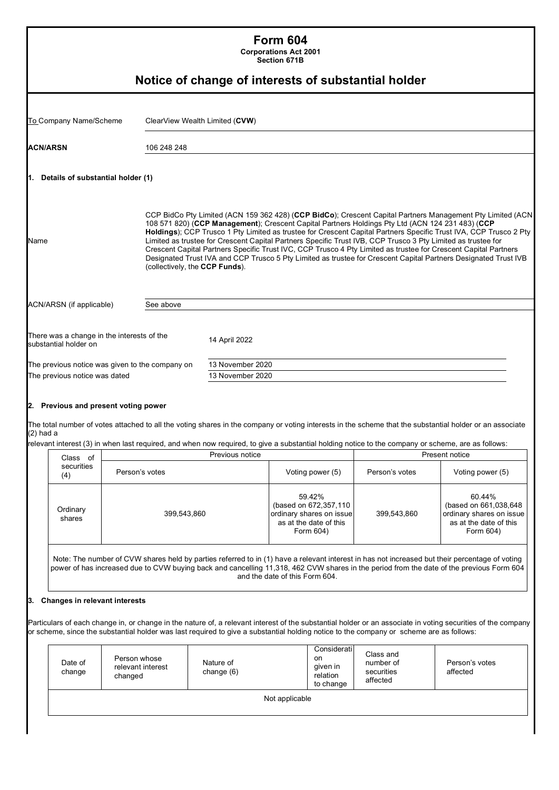|                                                                       |                                                                                                                                                                                                                                               |                                                       | <b>Form 604</b><br><b>Corporations Act 2001</b><br>Section 671B                                                                                                                                                                                                                                                                                                                                                                                                                                                                                                                                                                                                                           |                                                                                                    |                                                  |                                                                                                                                                                                                                                                                                            |  |
|-----------------------------------------------------------------------|-----------------------------------------------------------------------------------------------------------------------------------------------------------------------------------------------------------------------------------------------|-------------------------------------------------------|-------------------------------------------------------------------------------------------------------------------------------------------------------------------------------------------------------------------------------------------------------------------------------------------------------------------------------------------------------------------------------------------------------------------------------------------------------------------------------------------------------------------------------------------------------------------------------------------------------------------------------------------------------------------------------------------|----------------------------------------------------------------------------------------------------|--------------------------------------------------|--------------------------------------------------------------------------------------------------------------------------------------------------------------------------------------------------------------------------------------------------------------------------------------------|--|
|                                                                       |                                                                                                                                                                                                                                               | Notice of change of interests of substantial holder   |                                                                                                                                                                                                                                                                                                                                                                                                                                                                                                                                                                                                                                                                                           |                                                                                                    |                                                  |                                                                                                                                                                                                                                                                                            |  |
| To Company Name/Scheme                                                |                                                                                                                                                                                                                                               | ClearView Wealth Limited (CVW)                        |                                                                                                                                                                                                                                                                                                                                                                                                                                                                                                                                                                                                                                                                                           |                                                                                                    |                                                  |                                                                                                                                                                                                                                                                                            |  |
| ACN/ARSN                                                              | 106 248 248                                                                                                                                                                                                                                   |                                                       |                                                                                                                                                                                                                                                                                                                                                                                                                                                                                                                                                                                                                                                                                           |                                                                                                    |                                                  |                                                                                                                                                                                                                                                                                            |  |
| 1. Details of substantial holder (1)                                  |                                                                                                                                                                                                                                               |                                                       |                                                                                                                                                                                                                                                                                                                                                                                                                                                                                                                                                                                                                                                                                           |                                                                                                    |                                                  |                                                                                                                                                                                                                                                                                            |  |
| Name<br>(collectively, the CCP Funds).                                |                                                                                                                                                                                                                                               |                                                       | CCP BidCo Pty Limited (ACN 159 362 428) (CCP BidCo); Crescent Capital Partners Management Pty Limited (ACN<br>108 571 820) (CCP Management); Crescent Capital Partners Holdings Pty Ltd (ACN 124 231 483) (CCP<br>Holdings); CCP Trusco 1 Pty Limited as trustee for Crescent Capital Partners Specific Trust IVA, CCP Trusco 2 Pty<br>Limited as trustee for Crescent Capital Partners Specific Trust IVB, CCP Trusco 3 Pty Limited as trustee for<br>Crescent Capital Partners Specific Trust IVC, CCP Trusco 4 Pty Limited as trustee for Crescent Capital Partners<br>Designated Trust IVA and CCP Trusco 5 Pty Limited as trustee for Crescent Capital Partners Designated Trust IVB |                                                                                                    |                                                  |                                                                                                                                                                                                                                                                                            |  |
| ACN/ARSN (if applicable)                                              | See above                                                                                                                                                                                                                                     |                                                       |                                                                                                                                                                                                                                                                                                                                                                                                                                                                                                                                                                                                                                                                                           |                                                                                                    |                                                  |                                                                                                                                                                                                                                                                                            |  |
| substantial holder on<br>The previous notice was dated<br>$(2)$ had a | The previous notice was given to the company on<br>2. Previous and present voting power<br>relevant interest (3) in when last required, and when now required, to give a substantial holding notice to the company or scheme, are as follows: | 14 April 2022<br>13 November 2020<br>13 November 2020 |                                                                                                                                                                                                                                                                                                                                                                                                                                                                                                                                                                                                                                                                                           |                                                                                                    |                                                  | The total number of votes attached to all the voting shares in the company or voting interests in the scheme that the substantial holder or an associate                                                                                                                                   |  |
| Class of                                                              |                                                                                                                                                                                                                                               | Previous notice                                       |                                                                                                                                                                                                                                                                                                                                                                                                                                                                                                                                                                                                                                                                                           |                                                                                                    |                                                  | Present notice                                                                                                                                                                                                                                                                             |  |
| securities<br>(4)                                                     | Person's votes                                                                                                                                                                                                                                |                                                       |                                                                                                                                                                                                                                                                                                                                                                                                                                                                                                                                                                                                                                                                                           | Voting power (5)                                                                                   | Person's votes                                   | Voting power (5)                                                                                                                                                                                                                                                                           |  |
| Ordinary<br>shares                                                    | 399,543,860                                                                                                                                                                                                                                   |                                                       |                                                                                                                                                                                                                                                                                                                                                                                                                                                                                                                                                                                                                                                                                           | 59.42%<br>(based on 672,357,110<br>ordinary shares on issue<br>as at the date of this<br>Form 604) | 399,543,860                                      | 60.44%<br>(based on 661,038,648<br>ordinary shares on issue<br>as at the date of this<br>Form 604)                                                                                                                                                                                         |  |
|                                                                       |                                                                                                                                                                                                                                               |                                                       | and the date of this Form 604.                                                                                                                                                                                                                                                                                                                                                                                                                                                                                                                                                                                                                                                            |                                                                                                    |                                                  | Note: The number of CVW shares held by parties referred to in (1) have a relevant interest in has not increased but their percentage of voting<br>power of has increased due to CVW buying back and cancelling 11,318, 462 CVW shares in the period from the date of the previous Form 604 |  |
| Changes in relevant interests                                         | or scheme, since the substantial holder was last required to give a substantial holding notice to the company or scheme are as follows:                                                                                                       |                                                       |                                                                                                                                                                                                                                                                                                                                                                                                                                                                                                                                                                                                                                                                                           |                                                                                                    |                                                  | Particulars of each change in, or change in the nature of, a relevant interest of the substantial holder or an associate in voting securities of the company                                                                                                                               |  |
| Date of<br>change                                                     | Person whose<br>relevant interest<br>changed                                                                                                                                                                                                  | Nature of<br>change (6)                               |                                                                                                                                                                                                                                                                                                                                                                                                                                                                                                                                                                                                                                                                                           | Considerati<br>on<br>given in<br>relation<br>to change                                             | Class and<br>number of<br>securities<br>affected | Person's votes<br>affected                                                                                                                                                                                                                                                                 |  |
|                                                                       |                                                                                                                                                                                                                                               |                                                       | Not applicable                                                                                                                                                                                                                                                                                                                                                                                                                                                                                                                                                                                                                                                                            |                                                                                                    |                                                  |                                                                                                                                                                                                                                                                                            |  |
|                                                                       |                                                                                                                                                                                                                                               |                                                       |                                                                                                                                                                                                                                                                                                                                                                                                                                                                                                                                                                                                                                                                                           |                                                                                                    |                                                  |                                                                                                                                                                                                                                                                                            |  |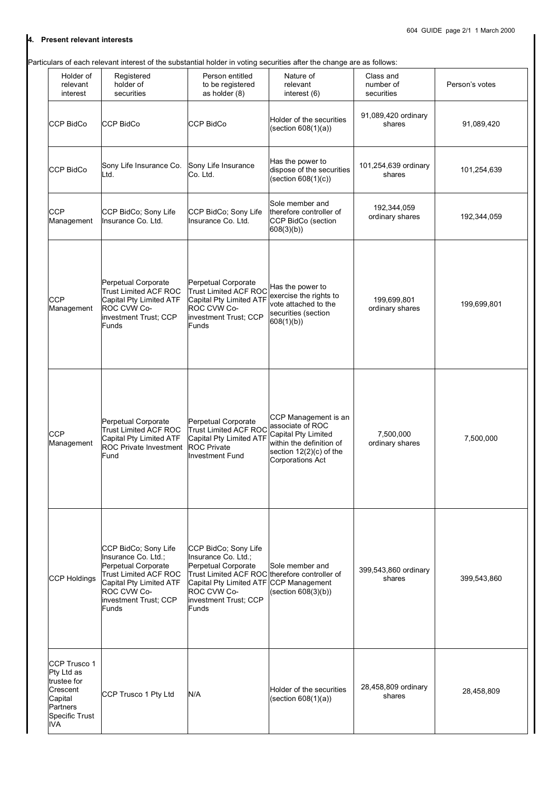## **4. Present relevant interests**

Particulars of each relevant interest of the substantial holder in voting securities after the change are as follows:

| Holder of<br>relevant<br>interest                                                                             | Registered<br>holder of<br>securities                                                                                                                                          | Person entitled<br>to be registered<br>as holder (8)                                                                                                                                                                  | Nature of<br>relevant<br>interest (6)                                                                                                             | Class and<br>number of<br>securities | Person's votes |
|---------------------------------------------------------------------------------------------------------------|--------------------------------------------------------------------------------------------------------------------------------------------------------------------------------|-----------------------------------------------------------------------------------------------------------------------------------------------------------------------------------------------------------------------|---------------------------------------------------------------------------------------------------------------------------------------------------|--------------------------------------|----------------|
| <b>CCP BidCo</b>                                                                                              | CCP BidCo                                                                                                                                                                      | <b>CCP BidCo</b>                                                                                                                                                                                                      | Holder of the securities<br>(section 608(1)(a))                                                                                                   | 91,089,420 ordinary<br>shares        | 91,089,420     |
| <b>CCP BidCo</b>                                                                                              | Sony Life Insurance Co.<br>Ltd.                                                                                                                                                | Sony Life Insurance<br>Co. Ltd.                                                                                                                                                                                       | Has the power to<br>dispose of the securities<br>$(\text{section } 608(1)(c))$                                                                    | 101,254,639 ordinary<br>shares       | 101,254,639    |
| <b>CCP</b><br>Management                                                                                      | CCP BidCo; Sony Life<br>Insurance Co. Ltd.                                                                                                                                     | CCP BidCo; Sony Life<br>Insurance Co. Ltd.                                                                                                                                                                            | Sole member and<br>therefore controller of<br>CCP BidCo (section<br>608(3)(b)                                                                     | 192,344,059<br>ordinary shares       | 192,344,059    |
| <b>CCP</b><br>Management                                                                                      | Perpetual Corporate<br><b>Trust Limited ACF ROC</b><br>Capital Pty Limited ATF<br>ROC CVW Co-<br>investment Trust; CCP<br><b>Funds</b>                                         | Perpetual Corporate<br>Trust Limited ACF ROC<br>Capital Pty Limited ATF<br>ROC CVW Co-<br>investment Trust; CCP<br>Funds                                                                                              | Has the power to<br>exercise the rights to<br>vote attached to the<br>securities (section<br>608(1)(b)                                            | 199,699,801<br>ordinary shares       | 199,699,801    |
| <b>CCP</b><br>Management                                                                                      | Perpetual Corporate<br>Trust Limited ACF ROC<br>Capital Pty Limited ATF<br><b>ROC Private Investment</b><br>Fund                                                               | Perpetual Corporate<br>Trust Limited ACF ROC<br>Capital Pty Limited ATF<br><b>ROC Private</b><br><b>Investment Fund</b>                                                                                               | CCP Management is an<br>associate of ROC<br>Capital Pty Limited<br>within the definition of<br>section 12(2)(c) of the<br><b>Corporations Act</b> | 7,500,000<br>ordinary shares         | 7,500,000      |
| <b>CCP Holdings</b>                                                                                           | CCP BidCo; Sony Life<br>Insurance Co. Ltd.;<br>Perpetual Corporate<br><b>Trust Limited ACF ROC</b><br>Capital Pty Limited ATF<br>ROC CVW Co-<br>investment Trust; CCP<br>Funds | CCP BidCo; Sony Life<br>Insurance Co. Ltd.;<br><b>Perpetual Corporate</b><br>Trust Limited ACF ROC therefore controller of<br>Capital Pty Limited ATF CCP Management<br>ROC CVW Co-<br>investment Trust; CCP<br>Funds | Sole member and<br>(section 608(3)(b))                                                                                                            | 399,543,860 ordinary<br>shares       | 399,543,860    |
| CCP Trusco 1<br>Pty Ltd as<br>trustee for<br>Crescent<br>Capital<br>Partners<br><b>Specific Trust</b><br>IVA. | CCP Trusco 1 Pty Ltd                                                                                                                                                           | N/A                                                                                                                                                                                                                   | Holder of the securities<br>(section $608(1)(a)$ )                                                                                                | 28,458,809 ordinary<br>shares        | 28,458,809     |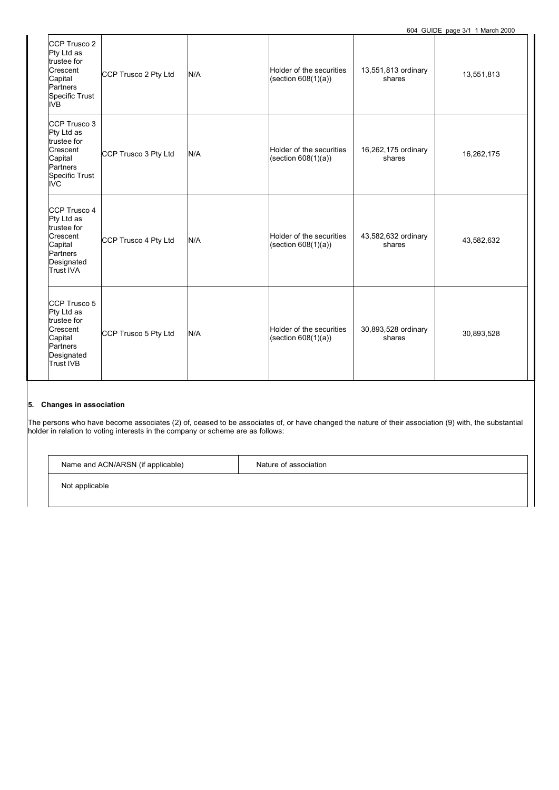| CCP Trusco 2<br>Pty Ltd as<br>trustee for<br>Crescent<br>Capital<br>Partners<br>Specific Trust<br><b>IVB</b>   | CCP Trusco 2 Pty Ltd | N/A | Holder of the securities<br>(section 608(1)(a)) | 13,551,813 ordinary<br>shares | 13,551,813 |
|----------------------------------------------------------------------------------------------------------------|----------------------|-----|-------------------------------------------------|-------------------------------|------------|
| CCP Trusco 3<br>Pty Ltd as<br>trustee for<br>Crescent<br>Capital<br>Partners<br><b>Specific Trust</b><br>IVC.  | CCP Trusco 3 Pty Ltd | N/A | Holder of the securities<br>(section 608(1)(a)) | 16,262,175 ordinary<br>shares | 16,262,175 |
| CCP Trusco 4<br>Pty Ltd as<br>trustee for<br>Crescent<br>Capital<br>Partners<br>Designated<br><b>Trust IVA</b> | CCP Trusco 4 Pty Ltd | N/A | Holder of the securities<br>(section 608(1)(a)) | 43,582,632 ordinary<br>shares | 43,582,632 |
| CCP Trusco 5<br>Pty Ltd as<br>trustee for<br>Crescent<br>Capital<br>Partners<br>Designated<br><b>Trust IVB</b> | CCP Trusco 5 Pty Ltd | N/A | Holder of the securities<br>(section 608(1)(a)) | 30,893,528 ordinary<br>shares | 30,893,528 |

The persons who have become associates (2) of, ceased to be associates of, or have changed the nature of their association (9) with, the substantial holder in relation to voting interests in the company or scheme are as follows:

| $\cdots$<br>and ACN/ARSN<br>. (if applicable)<br>Name | ∶association<br>Nature of |
|-------------------------------------------------------|---------------------------|
|                                                       |                           |

Not applicable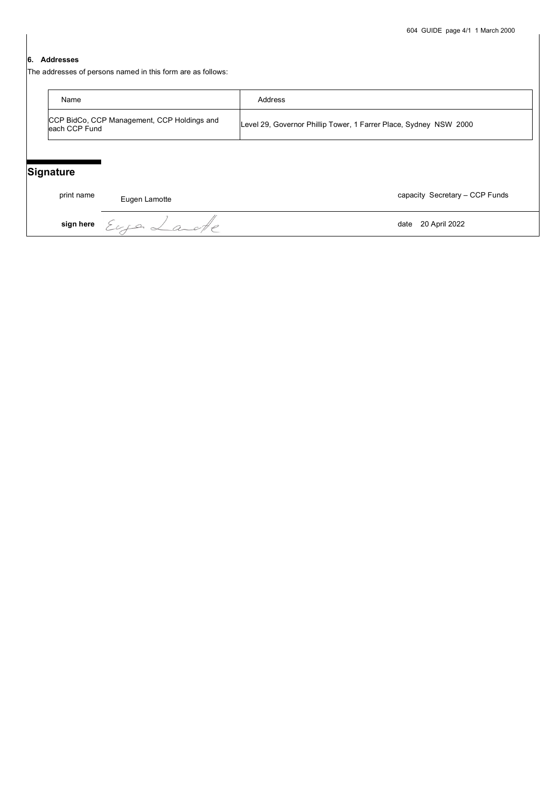## **6. Addresses**

The addresses of persons named in this form are as follows:

| Name                                                          | Address                                                           |
|---------------------------------------------------------------|-------------------------------------------------------------------|
| CCP BidCo, CCP Management, CCP Holdings and<br>leach CCP Fund | Level 29, Governor Phillip Tower, 1 Farrer Place, Sydney NSW 2000 |

## **Signature**

print name Eugen Lamotte **Eugen Capacity Secretary – CCP Funds** 

**sign here**  $\mathcal{E}_{\alpha}$   $\mathcal{E}_{\alpha}$   $\mathcal{E}_{\alpha}$   $\mathcal{E}_{\alpha}$   $\mathcal{E}_{\alpha}$   $\mathcal{E}_{\alpha}$   $\mathcal{E}_{\alpha}$   $\mathcal{E}_{\alpha}$   $\mathcal{E}_{\alpha}$   $\mathcal{E}_{\alpha}$   $\mathcal{E}_{\alpha}$   $\mathcal{E}_{\alpha}$   $\mathcal{E}_{\alpha}$   $\mathcal{E}_{\alpha}$   $\mathcal{E}_{\alpha}$   $\mathcal{E}_{\alpha}$   $\mathcal{E}_{\alpha}$   $\mathcal{$